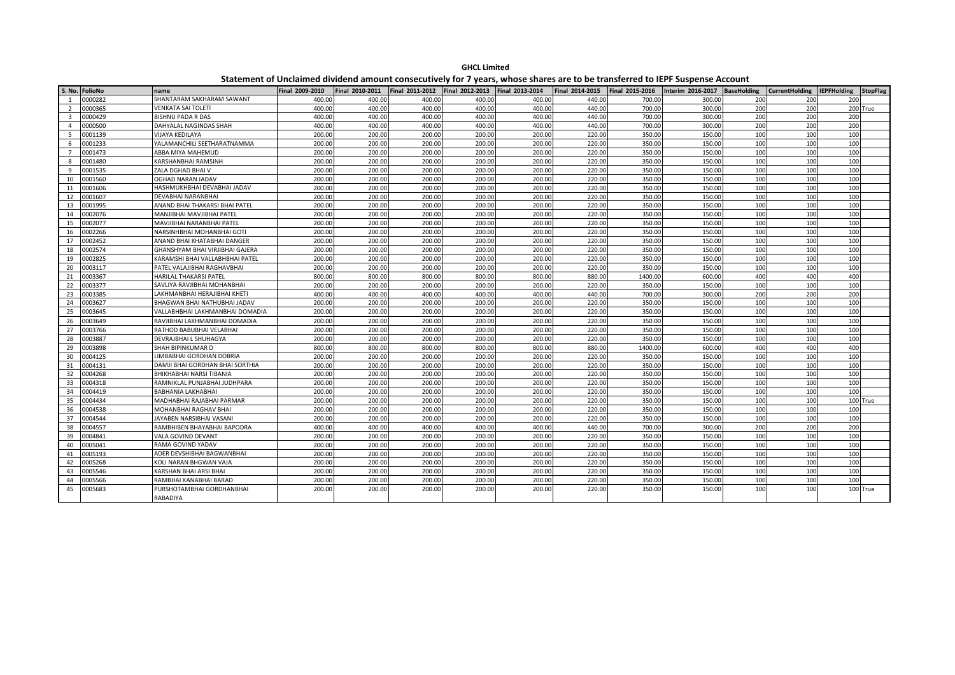**GHCL Limited Statement of Unclaimed dividend amount consecutively for 7 years, whose shares are to be transferred to IEPF Suspense Account**

|                | S. No. FolioNo | name                            | Final 2009-2010 | Final 2010-2011 | Final 2011-2012 | Final 2012-2013 | Final 2013-2014 | Final 2014-2015 | Final 2015-2016 | Interim 2016-2017 BaseHolding |     | <b>CurrentHolding</b> | <b>IEPFHolding</b> | <b>StopFlag</b> |
|----------------|----------------|---------------------------------|-----------------|-----------------|-----------------|-----------------|-----------------|-----------------|-----------------|-------------------------------|-----|-----------------------|--------------------|-----------------|
|                | 0000282        | SHANTARAM SAKHARAM SAWANT       | 400.00          | 400.00          | 400.00          | 400.00          | 400.00          | 440.00          | 700.00          | 300.00                        | 200 | 200                   | 200                |                 |
| $\overline{2}$ | 0000365        | VENKATA SAI TOLETI              | 400.00          | 400.00          | 400.00          | 400.00          | 400.00          | 440.00          | 700.00          | 300.00                        | 200 | 200                   |                    | 200 True        |
| 3              | 0000429        | BISHNU PADA R DAS               | 400.00          | 400.00          | 400.00          | 400.00          | 400.00          | 440.00          | 700.00          | 300.00                        | 200 | 200                   | 200                |                 |
| $\Delta$       | 0000500        | DAHYALAL NAGINDAS SHAH          | 400.00          | 400.00          | 400.00          | 400.00          | 400.00          | 440.00          | 700.00          | 300.00                        | 200 | 200                   | 200                |                 |
| .5             | 0001139        | VIJAYA KEDILAYA                 | 200.00          | 200.00          | 200.00          | 200.00          | 200.00          | 220.00          | 350.00          | 150.00                        | 100 | 100                   | 100                |                 |
| 6              | 0001233        | YALAMANCHILI SEETHARATNAMMA     | 200.00          | 200.00          | 200.00          | 200.00          | 200.00          | 220.00          | 350.00          | 150.00                        | 100 | 100                   | 100                |                 |
|                | 0001473        | ABBA MIYA MAHEMUD               | 200.00          | 200.00          | 200.00          | 200.00          | 200.00          | 220.00          | 350.00          | 150.00                        | 100 | 100                   | 100                |                 |
| 8              | 0001480        | KARSHANBHAI RAMSINH             | 200.00          | 200.00          | 200.00          | 200.00          | 200.00          | 220.00          | 350.00          | 150.00                        | 100 | 100                   | 100                |                 |
| 9              | 0001535        | ZALA DGHAD BHAI V               | 200.00          | 200.00          | 200.00          | 200.00          | 200.00          | 220.00          | 350.00          | 150.00                        | 100 | 100                   | 100                |                 |
| 10             | 0001560        | OGHAD NARAN JADAV               | 200.00          | 200.00          | 200.00          | 200.00          | 200.00          | 220.00          | 350.00          | 150.00                        | 100 | 100                   | 100                |                 |
| 11             | 0001606        | HASHMUKHBHAI DEVABHAI JADAV     | 200.00          | 200.00          | 200.00          | 200.00          | 200.00          | 220.00          | 350.00          | 150.00                        | 100 | 100                   | 100                |                 |
| 12             | 0001607        | DEVABHAI NARANBHAI              | 200.00          | 200.00          | 200.00          | 200.00          | 200.00          | 220.00          | 350.00          | 150.00                        | 100 | 100                   | 100                |                 |
| 13             | 0001995        | ANAND BHAI THAKARSI BHAI PATEL  | 200.00          | 200.00          | 200.00          | 200.00          | 200.00          | 220.00          | 350.00          | 150.00                        | 100 | 100                   | 100                |                 |
| 14             | 0002076        | MANJIBHAI MAVJIBHAI PATEL       | 200.00          | 200.00          | 200.00          | 200.00          | 200.00          | 220.00          | 350.00          | 150.00                        | 100 | 100                   | 100                |                 |
| 15             | 0002077        | MAVJIBHAI NARANBHAI PATEL       | 200.00          | 200.00          | 200.00          | 200.00          | 200.00          | 220.00          | 350.00          | 150.00                        | 100 | 100                   | 100                |                 |
| 16             | 0002266        | NARSINHBHAI MOHANBHAI GOTI      | 200.00          | 200.00          | 200.00          | 200.00          | 200.00          | 220.00          | 350.00          | 150.00                        | 100 | 100                   | 100                |                 |
| 17             | 0002452        | ANAND BHAI KHATABHAI DANGER     | 200.00          | 200.00          | 200.00          | 200.00          | 200.00          | 220.00          | 350.00          | 150.00                        | 100 | 100                   | 100                |                 |
| 18             | 0002574        | GHANSHYAM BHAI VIRJIBHAI GAJERA | 200.00          | 200.00          | 200.00          | 200.00          | 200.00          | 220.00          | 350.00          | 150.00                        | 100 | 100                   | 100                |                 |
| 19             | 0002825        | KARAMSHI BHAI VALLABHBHAI PATEL | 200.00          | 200.00          | 200.00          | 200.00          | 200.00          | 220.00          | 350.00          | 150.00                        | 100 | 100                   | 100                |                 |
| 20             | 0003117        | PATEL VALAJIBHAI RAGHAVBHAI     | 200.00          | 200.00          | 200.00          | 200.00          | 200.00          | 220.00          | 350.00          | 150.00                        | 100 | 100                   | 100                |                 |
| 21             | 0003367        | HARILAL THAKARSI PATEL          | 800.00          | 800.00          | 800.00          | 800.00          | 800.00          | 880.00          | 1400.00         | 600.00                        | 400 | 400                   | 400                |                 |
| 22             | 0003377        | SAVLIYA RAVJIBHAI MOHANBHAI     | 200.00          | 200.00          | 200.00          | 200.00          | 200.00          | 220.00          | 350.00          | 150.00                        | 100 | 100                   | 100                |                 |
| 23             | 0003385        | LAKHMANBHAI HERAJIBHAI KHETI    | 400.00          | 400.00          | 400.00          | 400.00          | 400.00          | 440.00          | 700.00          | 300.00                        | 200 | 200                   | 200                |                 |
| 24             | 0003627        | BHAGWAN BHAI NATHUBHAI JADAV    | 200.00          | 200.00          | 200.00          | 200.00          | 200.00          | 220.00          | 350.00          | 150.00                        | 100 | 100                   | 100                |                 |
| 25             | 0003645        | VALLABHBHAI LAKHMANBHAI DOMADIA | 200.00          | 200.00          | 200.00          | 200.00          | 200.00          | 220.00          | 350.00          | 150.00                        | 100 | 100                   | 100                |                 |
| 26             | 0003649        | RAVJIBHAI LAKHMANBHAI DOMADIA   | 200.00          | 200.00          | 200.00          | 200.00          | 200.00          | 220.00          | 350.00          | 150.00                        | 100 | 100                   | 100                |                 |
| 27             | 0003766        | RATHOD BABUBHAI VELABHAI        | 200.00          | 200.00          | 200.00          | 200.00          | 200.00          | 220.00          | 350.00          | 150.00                        | 100 | 100                   | 100                |                 |
| 28             | 0003887        | DEVRAJBHAI L SHUHAGYA           | 200.00          | 200.00          | 200.00          | 200.00          | 200.00          | 220.00          | 350.00          | 150.00                        | 100 | 100                   | 100                |                 |
| 29             | 0003898        | SHAH BIPINKUMAR D               | 800.00          | 800.00          | 800.00          | 800.00          | 800.00          | 880.00          | 1400.00         | 600.00                        | 400 | 400                   | 400                |                 |
| 30             | 0004125        | LIMBABHAI GORDHAN DOBRIA        | 200.00          | 200.00          | 200.00          | 200.00          | 200.00          | 220.00          | 350.00          | 150.00                        | 100 | 100                   | 100                |                 |
| 31             | 0004131        | DAMJI BHAI GORDHAN BHAI SORTHIA | 200.00          | 200.00          | 200.00          | 200.00          | 200.00          | 220.00          | 350.00          | 150.00                        | 100 | 10 <sub>C</sub>       | 100                |                 |
| 32             | 0004268        | BHIKHABHAI NARSI TIBANIA        | 200.00          | 200.00          | 200.00          | 200.00          | 200.00          | 220.00          | 350.00          | 150.00                        | 100 | 100                   | 100                |                 |
| 33             | 0004318        | RAMNIKLAL PUNJABHAI JUDHPARA    | 200.00          | 200.00          | 200.00          | 200.00          | 200.00          | 220.00          | 350.00          | 150.00                        | 100 | 100                   | 100                |                 |
| 34             | 0004419        | BABHANIA LAKHABHAI              | 200.00          | 200.00          | 200.00          | 200.00          | 200.00          | 220.00          | 350.00          | 150.00                        | 100 | 100                   | 100                |                 |
| 35             | 0004434        | MADHABHAI RAJABHAI PARMAR       | 200.00          | 200.00          | 200.00          | 200.00          | 200.00          | 220.00          | 350.00          | 150.00                        | 100 | 100                   |                    | 100 True        |
| 36             | 0004538        | MOHANBHAI RAGHAV BHAI           | 200.00          | 200.00          | 200.00          | 200.00          | 200.00          | 220.00          | 350.00          | 150.00                        | 100 | 100                   | 100                |                 |
| 37             | 0004544        | JAYABEN NARSIBHAI VASANI        | 200.00          | 200.00          | 200.00          | 200.00          | 200.00          | 220.00          | 350.00          | 150.00                        | 100 | 100                   | 100                |                 |
| 38             | 0004557        | RAMBHIBEN BHAYABHAI BAPODRA     | 400.00          | 400.00          | 400.00          | 400.00          | 400.00          | 440.00          | 700.00          | 300.00                        | 200 | 200                   | 200                |                 |
| 39             | 0004841        | VALA GOVIND DEVANT              | 200.00          | 200.00          | 200.00          | 200.00          | 200.00          | 220.00          | 350.00          | 150.00                        | 100 | 100                   | 100                |                 |
| 40             | 0005041        | RAMA GOVIND YADAV               | 200.00          | 200.00          | 200.00          | 200.00          | 200.00          | 220.00          | 350.00          | 150.00                        | 100 | 100                   | 100                |                 |
| 41             | 0005193        | ADER DEVSHIBHAI BAGWANBHAI      | 200.00          | 200.00          | 200.00          | 200.00          | 200.00          | 220.00          | 350.00          | 150.00                        | 100 | 100                   | 100                |                 |
| 42             | 0005268        | KOLI NARAN BHGWAN VAJA          | 200.00          | 200.00          | 200.00          | 200.00          | 200.00          | 220.00          | 350.00          | 150.00                        | 100 | 100                   | 100                |                 |
| 43             | 0005546        | KARSHAN BHAI ARSI BHAI          | 200.00          | 200.00          | 200.00          | 200.00          | 200.00          | 220.00          | 350.00          | 150.00                        | 100 | 100                   | 100                |                 |
| 44             | 0005566        | RAMBHAI KANABHAI BARAD          | 200.00          | 200.00          | 200.00          | 200.00          | 200.00          | 220.00          | 350.00          | 150.00                        | 100 | 100                   | 100                |                 |
| 45             | 0005683        | PURSHOTAMBHAI GORDHANBHAI       | 200.00          | 200.00          | 200.00          | 200.00          | 200.00          | 220.00          | 350.00          | 150.00                        | 100 | 100                   |                    | 100 True        |
|                |                | RABADIYA                        |                 |                 |                 |                 |                 |                 |                 |                               |     |                       |                    |                 |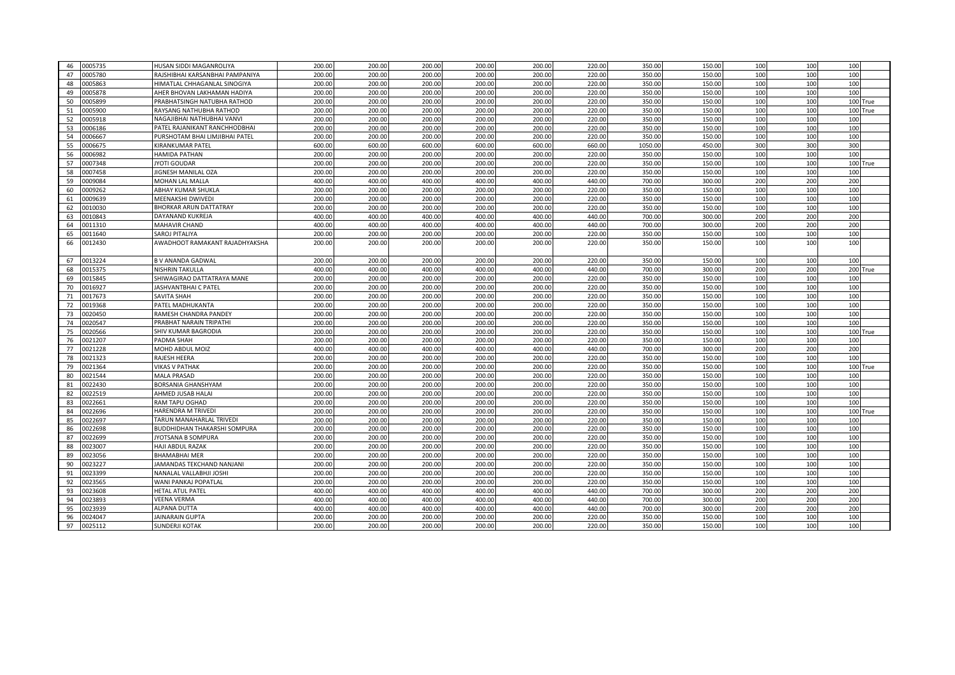| 46 | 0005735 | HUSAN SIDDI MAGANROLIYA         | 200.00 | 200.00 | 200.00 | 200.00 | 200.00 | 220.00 | 350.00  | 150.00 | 100 | 100             | 100 |          |
|----|---------|---------------------------------|--------|--------|--------|--------|--------|--------|---------|--------|-----|-----------------|-----|----------|
| 47 | 005780  | RAJSHIBHAI KARSANBHAI PAMPANIYA | 200.00 | 200.00 | 200.00 | 200.00 | 200.00 | 220.00 | 350.00  | 150.00 | 100 | 100             | 100 |          |
| 48 | 0005863 | HIMATLAL CHHAGANLAL SINOGIYA    | 200.00 | 200.00 | 200.00 | 200.00 | 200.00 | 220.00 | 350.00  | 150.00 | 100 | 100             | 100 |          |
| 49 | 0005878 | AHER BHOVAN LAKHAMAN HADIYA     | 200.00 | 200.00 | 200.00 | 200.00 | 200.00 | 220.00 | 350.00  | 150.00 | 100 | 100             | 100 |          |
| 50 | 0005899 | PRABHATSINGH NATUBHA RATHOD     | 200.00 | 200.00 | 200.00 | 200.00 | 200.00 | 220.00 | 350.00  | 150.00 | 100 | 100             |     | 100 True |
| 51 | 0005900 | RAYSANG NATHUBHA RATHOD         | 200.00 | 200.00 | 200.00 | 200.00 | 200.00 | 220.00 | 350.00  | 150.00 | 100 | 100             |     | 100 True |
| 52 | 0005918 | NAGAJIBHAI NATHUBHAI VANVI      | 200.00 | 200.00 | 200.00 | 200.00 | 200.00 | 220.00 | 350.00  | 150.00 | 100 | 100             | 100 |          |
| 53 | 0006186 | PATEL RAJANIKANT RANCHHODBHAI   | 200.00 | 200.00 | 200.00 | 200.00 | 200.00 | 220.00 | 350.00  | 150.00 | 100 | 100             | 100 |          |
| 54 | 0006667 | PURSHOTAM BHAI LIMJIBHAI PATEL  | 200.00 | 200.00 | 200.00 | 200.00 | 200.00 | 220.00 | 350.00  | 150.00 | 100 | 100             | 100 |          |
| 55 | 0006675 | KIRANKUMAR PATEL                | 600.00 | 600.00 | 600.00 | 600.00 | 600.00 | 660.00 | 1050.00 | 450.00 | 300 | 300             | 300 |          |
| 56 | 0006982 | HAMIDA PATHAN                   | 200.00 | 200.00 | 200.00 | 200.00 | 200.00 | 220.00 | 350.00  | 150.00 | 100 | 100             | 100 |          |
| 57 | 0007348 | JYOTI GOUDAR                    | 200.00 | 200.00 | 200.00 | 200.00 | 200.00 | 220.00 | 350.00  | 150.00 | 100 | 100             |     | 100 True |
| 58 | 0007458 | JIGNESH MANILAL OZA             | 200.00 | 200.00 | 200.00 | 200.00 | 200.00 | 220.00 | 350.00  | 150.00 | 100 | 100             | 100 |          |
| 59 | 0009084 | <b>MOHAN LAL MALLA</b>          | 400.00 | 400.00 | 400.00 | 400.00 | 400.00 | 440.00 | 700.00  | 300.00 | 200 | 200             | 200 |          |
| 60 | 0009262 | <b>ABHAY KUMAR SHUKLA</b>       | 200.00 | 200.00 | 200.00 | 200.00 | 200.00 | 220.00 | 350.00  | 150.00 | 100 | 100             | 100 |          |
| 61 | 0009639 | MEENAKSHI DWIVEDI               | 200.00 | 200.00 | 200.00 | 200.00 | 200.00 | 220.00 | 350.00  | 150.00 | 100 | 100             | 100 |          |
| 62 | 0010030 | <b>BHORKAR ARUN DATTATRAY</b>   | 200.00 | 200.00 | 200.00 | 200.00 | 200.00 | 220.00 | 350.00  | 150.00 | 100 | 100             | 100 |          |
| 63 | 0010843 | <b>DAYANAND KUKREJA</b>         | 400.00 | 400.00 | 400.00 | 400.00 | 400.00 | 440.00 | 700.0   | 300.00 | 200 | 200             | 200 |          |
| 64 | 0011310 | <b>MAHAVIR CHAND</b>            | 400.00 | 400.00 | 400.00 | 400.00 | 400.00 | 440.00 | 700.0   | 300.00 | 200 | 200             | 200 |          |
| 65 | 0011640 | SAROJ PITALIYA                  | 200.00 | 200.00 | 200.00 | 200.00 | 200.00 | 220.00 | 350.00  | 150.00 | 100 | 100             | 100 |          |
| 66 | 0012430 | AWADHOOT RAMAKANT RAJADHYAKSHA  | 200.00 | 200.00 | 200.00 | 200.00 | 200.00 | 220.00 | 350.00  | 150.00 | 100 | 100             | 100 |          |
|    |         |                                 |        |        |        |        |        |        |         |        |     |                 |     |          |
| 67 | 013224  | <b>B V ANANDA GADWAL</b>        | 200.00 | 200.00 | 200.00 | 200.00 | 200.00 | 220.00 | 350.00  | 150.00 | 100 | 100             | 100 |          |
| 68 | 0015375 | <b>NISHRIN TAKULLA</b>          | 400.00 | 400.00 | 400.00 | 400.00 | 400.00 | 440.00 | 700.0   | 300.00 | 200 | 200             |     | 200 True |
| 69 | 015845  | SHIWAGIRAO DATTATRAYA MANE      | 200.00 | 200.00 | 200.00 | 200.00 | 200.00 | 220.00 | 350.00  | 150.00 | 100 | 10 <sup>c</sup> | 100 |          |
| 70 | 0016927 | JASHVANTBHAI C PATEL            | 200.00 | 200.00 | 200.00 | 200.00 | 200.00 | 220.00 | 350.00  | 150.00 | 100 | 100             | 100 |          |
| 71 | 017673  | SAVITA SHAH                     | 200.00 | 200.00 | 200.00 | 200.00 | 200.00 | 220.00 | 350.00  | 150.00 | 100 | 100             | 100 |          |
| 72 | 019368  | PATEL MADHUKANTA                | 200.00 | 200.00 | 200.00 | 200.00 | 200.00 | 220.00 | 350.00  | 150.00 | 100 | 100             | 100 |          |
| 73 | 0020450 | RAMESH CHANDRA PANDEY           | 200.00 | 200.00 | 200.00 | 200.00 | 200.00 | 220.00 | 350.00  | 150.00 | 100 | 100             | 100 |          |
| 74 | 0020547 | PRABHAT NARAIN TRIPATHI         | 200.00 | 200.00 | 200.00 | 200.00 | 200.00 | 220.00 | 350.00  | 150.00 | 100 | 100             | 100 |          |
| 75 | 0020566 | <b>SHIV KUMAR BAGRODIA</b>      | 200.00 | 200.00 | 200.00 | 200.00 | 200.00 | 220.00 | 350.00  | 150.00 | 100 | 100             |     | 100 True |
| 76 | 0021207 | PADMA SHAH                      | 200.00 | 200.00 | 200.00 | 200.00 | 200.00 | 220.00 | 350.00  | 150.00 | 100 | 100             | 100 |          |
| 77 | 021228  | MOHD ABDUL MOIZ                 | 400.00 | 400.00 | 400.00 | 400.00 | 400.00 | 440.00 | 700.00  | 300.00 | 200 | 200             | 200 |          |
| 78 | 0021323 | RAJESH HEERA                    | 200.00 | 200.00 | 200.00 | 200.00 | 200.00 | 220.00 | 350.0   | 150.00 | 100 | 100             | 100 |          |
| 79 | 0021364 | <b>VIKAS V PATHAK</b>           | 200.00 | 200.00 | 200.00 | 200.00 | 200.00 | 220.00 | 350.00  | 150.00 | 100 | 10 <sup>c</sup> |     | 100 True |
| 80 | 0021544 | <b>MALA PRASAD</b>              | 200.00 | 200.00 | 200.00 | 200.00 | 200.00 | 220.00 | 350.00  | 150.00 | 100 | 100             | 100 |          |
| 81 | 022430  | BORSANIA GHANSHYAM              | 200.00 | 200.00 | 200.00 | 200.00 | 200.00 | 220.00 | 350.00  | 150.00 | 100 | 100             | 100 |          |
| 82 | 022519  | AHMED JUSAB HALAI               | 200.00 | 200.00 | 200.00 | 200.00 | 200.00 | 220.00 | 350.00  | 150.00 | 100 | 100             | 100 |          |
| 83 | 0022661 | RAM TAPU OGHAD                  | 200.00 | 200.00 | 200.00 | 200.00 | 200.00 | 220.00 | 350.0   | 150.00 | 100 | 10 <sub>C</sub> | 100 |          |
| 84 | 0022696 | HARENDRA M TRIVEDI              | 200.00 | 200.00 | 200.00 | 200.00 | 200.00 | 220.00 | 350.00  | 150.00 | 100 | 100             |     | 100 True |
| 85 | 0022697 | TARUN MANAHARLAL TRIVEDI        | 200.00 | 200.00 | 200.00 | 200.00 | 200.00 | 220.00 | 350.00  | 150.00 | 100 | 100             | 100 |          |
| 86 | 022698  | BUDDHIDHAN THAKARSHI SOMPURA    | 200.00 | 200.00 | 200.00 | 200.00 | 200.00 | 220.00 | 350.00  | 150.00 | 100 | 100             | 100 |          |
| 87 | 022699  | IYOTSANA B SOMPURA              | 200.00 | 200.00 | 200.00 | 200.00 | 200.00 | 220.00 | 350.00  | 150.00 | 100 | 100             | 100 |          |
| 88 | 0023007 | <b>HAJI ABDUL RAZAK</b>         | 200.00 | 200.00 | 200.00 | 200.00 | 200.00 | 220.00 | 350.00  | 150.00 | 100 | 100             | 100 |          |
| 89 | 0023056 | <b>BHAMABHAI MER</b>            | 200.00 | 200.00 | 200.00 | 200.00 | 200.00 | 220.00 | 350.0   | 150.00 | 100 | 100             | 100 |          |
| 90 | 0023227 | JAMANDAS TEKCHAND NANJANI       | 200.00 | 200.00 | 200.00 | 200.00 | 200.00 | 220.00 | 350.00  | 150.00 | 100 | 100             | 100 |          |
| 91 | 023399  | NANALAL VALLABHJI JOSHI         | 200.00 | 200.00 | 200.00 | 200.00 | 200.00 | 220.00 | 350.0   | 150.00 | 100 | 100             | 100 |          |
| 92 | 023565  | WANI PANKAJ POPATLAL            | 200.00 | 200.00 | 200.00 | 200.00 | 200.00 | 220.00 | 350.00  | 150.00 | 100 | 100             | 100 |          |
| 93 | 0023608 | HETAL ATUL PATEL                | 400.00 | 400.00 | 400.00 | 400.00 | 400.00 | 440.00 | 700.00  | 300.00 | 200 | 200             | 200 |          |
| 94 | 0023893 | VEENA VERMA                     | 400.00 | 400.00 | 400.00 | 400.00 | 400.00 | 440.00 | 700.00  | 300.00 | 200 | 200             | 200 |          |
| 95 | 0023939 | <b>ALPANA DUTTA</b>             | 400.00 | 400.00 | 400.00 | 400.00 | 400.00 | 440.00 | 700.0   | 300.00 | 200 | 200             | 200 |          |
| 96 | 024047  | <b>JAINARAIN GUPTA</b>          | 200.00 | 200.00 | 200.00 | 200.00 | 200.00 | 220.00 | 350.00  | 150.00 | 100 | 100             | 100 |          |
| 97 | 0025112 | <b>SUNDERJI KOTAK</b>           | 200.00 | 200.00 | 200.00 | 200.00 | 200.00 | 220.00 | 350.00  | 150.00 | 100 | 100             | 100 |          |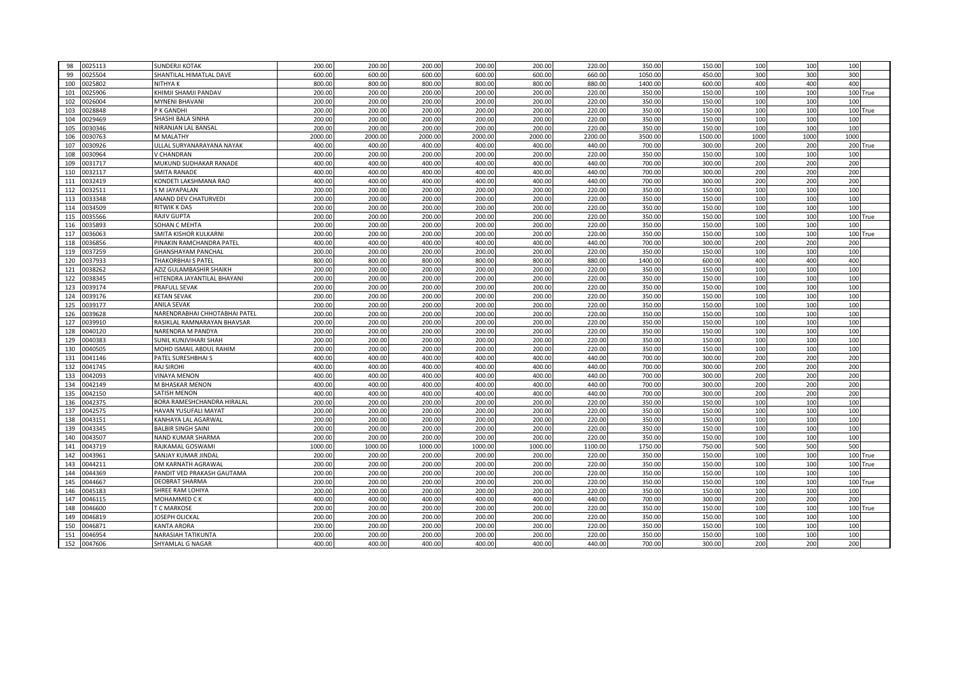| 0025113<br>98  | <b>SUNDERJI KOTAK</b>         | 200.00  | 200.00  | 200.00  | 200.00  | 200.00  | 220.00  | 350.00  | 150.00  | 100  | 100             | 100  |          |
|----------------|-------------------------------|---------|---------|---------|---------|---------|---------|---------|---------|------|-----------------|------|----------|
| 99             |                               |         |         |         |         |         |         |         |         |      |                 | 300  |          |
| 025504         | SHANTILAL HIMATLAL DAVE       | 600.00  | 600.00  | 600.00  | 600.00  | 600.00  | 660.00  | 1050.0  | 450.00  | 300  | 300             |      |          |
| 025802<br>100  | NITHYA K                      | 800.00  | 800.00  | 800.00  | 800.00  | 800.00  | 880.00  | 1400.00 | 600.00  | 400  | 400             | 400  |          |
| 025906<br>101  | KHIMJI SHAMJI PANDAV          | 200.00  | 200.00  | 200.00  | 200.00  | 200.00  | 220.00  | 350.00  | 150.00  | 100  | 100             |      | 100 True |
| 102<br>0026004 | <b>MYNENI BHAVANI</b>         | 200.00  | 200.00  | 200.00  | 200.00  | 200.00  | 220.00  | 350.0   | 150.00  | 100  | 10 <sub>C</sub> | 100  |          |
| 103<br>0028848 | P K GANDHI                    | 200.00  | 200.00  | 200.00  | 200.00  | 200.00  | 220.00  | 350.00  | 150.00  | 100  | 10 <sub>C</sub> |      | 100 True |
| 029469<br>104  | SHASHI BALA SINHA             | 200.00  | 200.00  | 200.00  | 200.00  | 200.00  | 220.00  | 350.00  | 150.00  | 100  | 10 <sup>c</sup> | 100  |          |
| 105<br>030346  | NIRANJAN LAL BANSAL           | 200.00  | 200.00  | 200.00  | 200.00  | 200.00  | 220.00  | 350.00  | 150.00  | 100  | 10 <sup>c</sup> | 100  |          |
| 0030763<br>106 | M MALATHY                     | 2000.00 | 2000.00 | 2000.00 | 2000.00 | 2000.00 | 2200.00 | 3500.0  | 1500.00 | 1000 | 1000            | 1000 |          |
| 107<br>030926  | ULLAL SURYANARAYANA NAYAK     | 400.00  | 400.00  | 400.00  | 400.00  | 400.00  | 440.00  | 700.00  | 300.00  | 200  | 200             |      | 200 True |
| 108<br>030964  | V CHANDRAN                    | 200.00  | 200.00  | 200.00  | 200.00  | 200.00  | 220.00  | 350.00  | 150.00  | 100  | 10 <sub>C</sub> | 100  |          |
| 031717<br>109  | MUKUND SUDHAKAR RANADE        | 400.00  | 400.00  | 400.00  | 400.00  | 400.00  | 440.00  | 700.00  | 300.00  | 200  | 200             | 200  |          |
| 0032117<br>110 | SMITA RANADE                  | 400.00  | 400.00  | 400.00  | 400.00  | 400.00  | 440.00  | 700.00  | 300.00  | 200  | 200             | 200  |          |
| 111<br>032419  | KONDETI LAKSHMANA RAO         | 400.00  | 400.00  | 400.00  | 400.00  | 400.00  | 440.00  | 700.00  | 300.00  | 200  | 200             | 200  |          |
| 032511<br>112  | S M JAYAPALAN                 | 200.00  | 200.00  | 200.00  | 200.00  | 200.00  | 220.00  | 350.00  | 150.00  | 100  | 100             | 100  |          |
| 113<br>033348  | ANAND DEV CHATURVEDI          | 200.00  | 200.00  | 200.00  | 200.00  | 200.00  | 220.00  | 350.0   | 150.00  | 100  | 100             | 100  |          |
| 0034509<br>114 | <b>RITWIK K DAS</b>           | 200.00  | 200.00  | 200.00  | 200.00  | 200.00  | 220.00  | 350.00  | 150.00  | 100  | 10 <sup>c</sup> | 100  |          |
| 0035566<br>115 | <b>RAJIV GUPTA</b>            | 200.00  | 200.00  | 200.00  | 200.00  | 200.00  | 220.00  | 350.00  | 150.00  | 100  | 10 <sup>c</sup> |      | 100 True |
| 035893<br>116  | SOHAN C MEHTA                 | 200.00  | 200.00  | 200.00  | 200.00  | 200.00  | 220.00  | 350.00  | 150.00  | 100  | 10 <sub>C</sub> | 100  |          |
| 117<br>0036063 | SMITA KISHOR KULKARNI         | 200.00  | 200.00  | 200.00  | 200.00  | 200.00  | 220.00  | 350.00  | 150.00  | 100  | 10 <sup>c</sup> |      | 100 True |
| 0036856<br>118 | PINAKIN RAMCHANDRA PATEL      | 400.00  | 400.00  | 400.00  | 400.00  | 400.00  | 440.00  | 700.00  | 300.00  | 200  | <b>200</b>      | 200  |          |
| 119<br>037259  | <b>GHANSHAYAM PANCHAL</b>     | 200.00  | 200.00  | 200.00  | 200.00  | 200.00  | 220.00  | 350.00  | 150.00  | 100  | 100             | 100  |          |
| 120<br>037933  | <b>THAKORBHAI S PATEL</b>     | 800.00  | 800.00  | 800.00  | 800.00  | 800.00  | 880.00  | 1400.0  | 600.00  | 400  | 400             | 400  |          |
| 121<br>038262  | AZIZ GULAMBASHIR SHAIKH       | 200.00  | 200.00  | 200.00  | 200.00  | 200.00  | 220.00  | 350.00  | 150.00  | 100  | 10 <sub>C</sub> | 100  |          |
| 122<br>038345  | HITENDRA JAYANTILAL BHAYANI   | 200.00  | 200.00  | 200.00  | 200.00  | 200.00  | 220.00  | 350.00  | 150.00  | 100  | 100             | 100  |          |
| 039174<br>123  | PRAFULL SEVAK                 | 200.00  | 200.00  | 200.00  | 200.00  | 200.00  | 220.00  | 350.00  | 150.00  | 100  | 10 <sub>C</sub> | 100  |          |
| 124<br>0039176 | <b>KETAN SEVAK</b>            | 200.00  | 200.00  | 200.00  | 200.00  | 200.00  | 220.00  | 350.0   | 150.00  | 100  | 10 <sub>C</sub> | 100  |          |
| 125<br>0039177 | <b>ANILA SEVAK</b>            | 200.00  | 200.00  | 200.00  | 200.00  | 200.00  | 220.00  | 350.00  | 150.00  | 100  | 10 <sub>C</sub> | 100  |          |
| 039628<br>126  | NARENDRABHAI CHHOTABHAI PATEL | 200.00  | 200.00  | 200.00  | 200.00  | 200.00  | 220.00  | 350.00  | 150.00  | 100  | 100             | 100  |          |
| 127<br>039910  | RASIKLAL RAMNARAYAN BHAVSAR   | 200.00  | 200.00  | 200.00  | 200.00  | 200.00  | 220.00  | 350.0   | 150.00  | 100  | 100             | 100  |          |
| 128<br>0040120 | <b>NARENDRA M PANDYA</b>      | 200.00  | 200.00  | 200.00  | 200.00  | 200.00  | 220.00  | 350.00  | 150.00  | 100  | 10 <sup>c</sup> | 100  |          |
| 129<br>040383  | SUNIL KUNJVIHARI SHAH         | 200.00  | 200.00  | 200.00  | 200.00  | 200.00  | 220.00  | 350.00  | 150.00  | 100  | 10 <sub>C</sub> | 100  |          |
| 130<br>0040505 | MOHD ISMAIL ABDUL RAHIM       | 200.00  | 200.00  | 200.00  | 200.00  | 200.00  | 220.00  | 350.00  | 150.00  | 100  | 100             | 100  |          |
| 131<br>0041146 | PATEL SURESHBHAI S            | 400.00  | 400.00  | 400.00  | 400.00  | 400.00  | 440.00  | 700.0   | 300.00  | 200  | 200             | 200  |          |
| 132<br>041745  | <b>RAJ SIROHI</b>             | 400.00  | 400.00  | 400.00  | 400.00  | 400.00  | 440.00  | 700.00  | 300.00  | 200  | <b>200</b>      | 200  |          |
| 133<br>042093  | <b>VINAYA MENON</b>           | 400.00  | 400.00  | 400.00  | 400.00  | 400.00  | 440.00  | 700.00  | 300.00  | 200  | 200             | 200  |          |
| 042149<br>134  | M BHASKAR MENON               | 400.00  | 400.00  | 400.00  | 400.00  | 400.00  | 440.00  | 700.00  | 300.00  | 200  | 200             | 200  |          |
| 135<br>042150  | SATISH MENON                  | 400.00  | 400.00  | 400.00  | 400.00  | 400.00  | 440.00  | 700.00  | 300.00  | 200  | 200             | 200  |          |
| 136<br>0042375 | BORA RAMESHCHANDRA HIRALAL    | 200.00  | 200.00  | 200.00  | 200.00  | 200.00  | 220.00  | 350.00  | 150.00  | 100  | 10 <sup>c</sup> | 100  |          |
| 042575<br>137  | <b>HAVAN YUSUFALI MAYAT</b>   | 200.00  | 200.00  | 200.00  | 200.00  | 200.00  | 220.00  | 350.00  | 150.00  | 100  | 10 <sup>c</sup> | 100  |          |
| 138<br>0043151 | KANHAYA LAL AGARWAL           | 200.00  | 200.00  | 200.00  | 200.00  | 200.00  | 220.00  | 350.00  | 150.00  | 100  | 100             | 100  |          |
| 0043345<br>139 | <b>BALBIR SINGH SAINI</b>     | 200.00  | 200.00  | 200.00  | 200.00  | 200.00  | 220.00  | 350.00  | 150.00  | 100  | 10 <sup>c</sup> | 100  |          |
| 0043507<br>140 | NAND KUMAR SHARMA             | 200.00  | 200.00  | 200.00  | 200.00  | 200.00  | 220.00  | 350.00  | 150.00  | 100  | 100             | 100  |          |
| 141<br>043719  | RAJKAMAL GOSWAMI              | 1000.00 | 1000.00 | 1000.00 | 1000.00 | 1000.00 | 1100.00 | 1750.00 | 750.00  | 500  | 500             | 500  |          |
| 142<br>043961  | SANJAY KUMAR JINDAL           | 200.00  | 200.00  | 200.00  | 200.00  | 200.00  | 220.00  | 350.00  | 150.00  | 100  | 10 <sub>C</sub> |      | 100 True |
| 143<br>044211  | OM KARNATH AGRAWAL            | 200.00  | 200.00  | 200.00  | 200.00  | 200.00  | 220.00  | 350.00  | 150.00  | 100  | 100             |      | 100 True |
| 144<br>044369  | PANDIT VED PRAKASH GAUTAMA    | 200.00  | 200.00  | 200.00  | 200.00  | 200.00  | 220.00  | 350.0   | 150.00  | 100  | 10 <sub>C</sub> | 100  |          |
| 0044667<br>145 | <b>DEOBRAT SHARMA</b>         | 200.00  | 200.00  | 200.00  | 200.00  | 200.00  | 220.00  | 350.0   | 150.00  | 100  | 10 <sub>C</sub> |      | 100 True |
| 146<br>0045183 | SHREE RAM LOHIYA              | 200.00  | 200.00  | 200.00  | 200.00  | 200.00  | 220.00  | 350.00  | 150.00  | 100  | 10 <sup>c</sup> | 100  |          |
| 147<br>046115  | MOHAMMED CK                   | 400.00  | 400.00  | 400.00  | 400.00  | 400.00  | 440.00  | 700.00  | 300.00  | 200  | <b>200</b>      | 200  |          |
| 0046600<br>148 | T C MARKOSE                   | 200.00  | 200.00  | 200.00  | 200.00  | 200.00  | 220.00  | 350.0   | 150.00  | 100  | 100             |      | 100 True |
| 149<br>046819  | JOSEPH OLICKAL                | 200.00  | 200.00  | 200.00  | 200.00  | 200.00  | 220.00  | 350.00  | 150.00  | 100  | 10 <sup>c</sup> | 100  |          |
| 150<br>046871  | KANTA ARORA                   | 200.00  | 200.00  | 200.00  | 200.00  | 200.00  | 220.00  | 350.00  | 150.00  | 100  | 10 <sub>C</sub> | 100  |          |
| 046954<br>151  | NARASIAH TATIKUNTA            | 200.00  | 200.00  | 200.00  | 200.00  | 200.00  | 220.00  | 350.00  | 150.00  | 100  | 10 <sub>C</sub> | 100  |          |
| 152<br>0047606 | SHYAMLAL G NAGAR              | 400.00  | 400.00  | 400.00  | 400.00  | 400.00  | 440.00  | 700.00  | 300.00  | 200  | 200             | 200  |          |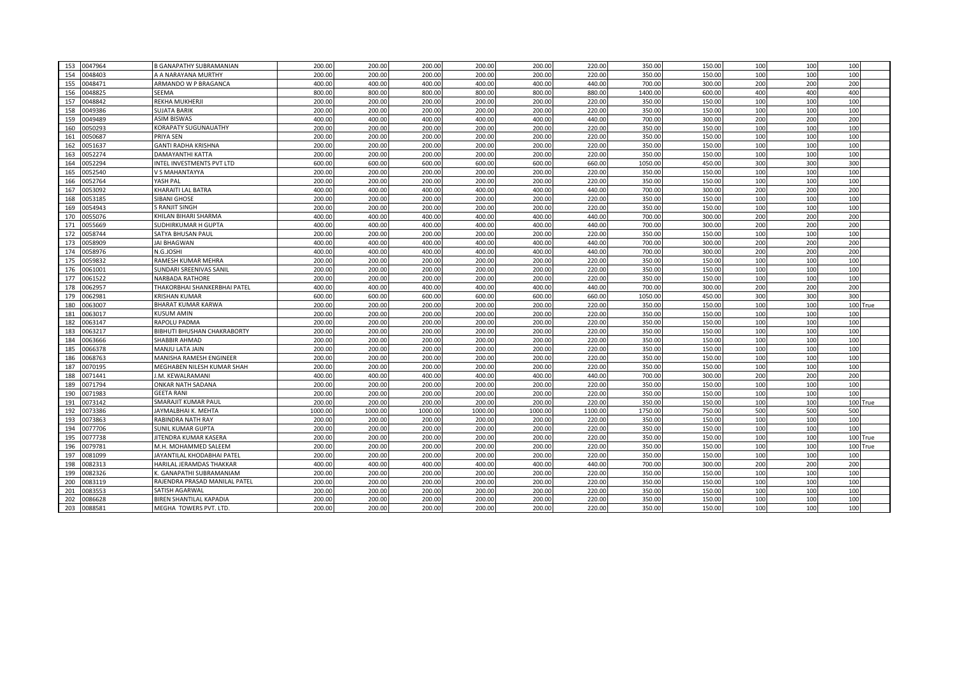| 153<br>0047964 | <b>B GANAPATHY SUBRAMANIAN</b>     | 200.00  | 200.00  | 200.00  | 200.00  | 200.00  | 220.00  | 350.00  | 150.00 | 100 | 100             | 100      |          |
|----------------|------------------------------------|---------|---------|---------|---------|---------|---------|---------|--------|-----|-----------------|----------|----------|
| 048403<br>154  | A A NARAYANA MURTHY                | 200.00  | 200.00  | 200.00  | 200.00  | 200.00  | 220.00  | 350.0   | 150.00 | 100 | 100             | 100      |          |
| 0048471<br>155 | ARMANDO W P BRAGANCA               | 400.00  | 400.00  | 400.00  | 400.00  | 400.00  | 440.00  | 700.00  | 300.00 | 200 | 200             | 200      |          |
| 156<br>0048825 | <b>SEEMA</b>                       | 800.00  | 800.00  | 800.00  | 800.00  | 800.00  | 880.00  | 1400.00 | 600.00 | 400 | 40 <sub>C</sub> | 400      |          |
| 048842<br>157  | REKHA MUKHERJI                     | 200.00  | 200.00  | 200.00  | 200.00  | 200.00  | 220.00  | 350.00  | 150.00 | 100 | 100             | 100      |          |
| 0049386<br>158 | <b>SUJATA BARIK</b>                | 200.00  | 200.00  | 200.00  | 200.00  | 200.00  | 220.00  | 350.00  | 150.00 | 100 | 100             | 100      |          |
| 0049489<br>159 | <b>ASIM BISWAS</b>                 | 400.00  | 400.00  | 400.00  | 400.00  | 400.00  | 440.00  | 700.00  | 300.00 | 200 | 200             | 200      |          |
| 160<br>0050293 | KORAPATY SUGUNAUATHY               | 200.00  | 200.00  | 200.00  | 200.00  | 200.00  | 220.00  | 350.00  | 150.00 | 100 | 10 <sup>c</sup> | 100      |          |
| 161<br>0050687 | PRIYA SEN                          | 200.00  | 200.00  | 200.00  | 200.00  | 200.00  | 220.00  | 350.00  | 150.00 | 100 | 10 <sub>C</sub> | 100      |          |
| 162<br>0051637 | <b>GANTI RADHA KRISHNA</b>         | 200.00  | 200.00  | 200.00  | 200.00  | 200.00  | 220.00  | 350.00  | 150.00 | 100 | 10 <sup>c</sup> | 100      |          |
| 0052274<br>163 | DAMAYANTHI KATTA                   | 200.00  | 200.00  | 200.00  | 200.00  | 200.00  | 220.00  | 350.00  | 150.00 | 100 | 10 <sub>C</sub> | 100      |          |
| 0052294<br>164 | INTEL INVESTMENTS PVT LTD          | 600.00  | 600.00  | 600.00  | 600.00  | 600.00  | 660.00  | 1050.00 | 450.00 | 300 | 30 <sup>c</sup> | 300      |          |
| 0052540<br>165 | V S MAHANTAYYA                     | 200.00  | 200.00  | 200.00  | 200.00  | 200.00  | 220.00  | 350.00  | 150.00 | 100 | 100             | 100      |          |
| 0052764<br>166 | YASH PAL                           | 200.00  | 200.00  | 200.00  | 200.00  | 200.00  | 220.00  | 350.00  | 150.00 | 100 | 10 <sub>C</sub> | 100      |          |
| 053092<br>167  | KHARAITI LAL BATRA                 | 400.00  | 400.00  | 400.00  | 400.00  | 400.00  | 440.00  | 700.00  | 300.00 | 200 | 200             | 200      |          |
| 0053185<br>168 | SIBANI GHOSE                       | 200.00  | 200.00  | 200.00  | 200.00  | 200.00  | 220.00  | 350.00  | 150.00 | 100 | 10 <sub>C</sub> | 100      |          |
| 054943<br>169  | <b>S RANJIT SINGH</b>              | 200.00  | 200.00  | 200.00  | 200.00  | 200.00  | 220.00  | 350.00  | 150.00 | 100 | 100             | 100      |          |
| 0055076<br>170 | KHILAN BIHARI SHARMA               | 400.00  | 400.00  | 400.00  | 400.00  | 400.00  | 440.00  | 700.00  | 300.00 | 200 | 200             | 200      |          |
| 171<br>0055669 | <b>SUDHIRKUMAR H GUPTA</b>         | 400.00  | 400.00  | 400.00  | 400.00  | 400.00  | 440.00  | 700.00  | 300.00 | 200 | 200             | 200      |          |
| 172<br>0058744 | SATYA BHUSAN PAUL                  | 200.00  | 200.00  | 200.00  | 200.00  | 200.00  | 220.00  | 350.00  | 150.00 | 100 | 100             | 100      |          |
| 173<br>0058909 | JAI BHAGWAN                        | 400.00  | 400.00  | 400.00  | 400.00  | 400.00  | 440.00  | 700.0   | 300.00 | 200 | 200             | 200      |          |
| 0058976<br>174 | N.G.JOSHI                          | 400.00  | 400.00  | 400.00  | 400.00  | 400.00  | 440.00  | 700.0   | 300.00 | 200 | 200             | 200      |          |
| 0059832<br>175 | RAMESH KUMAR MEHRA                 | 200.00  | 200.00  | 200.00  | 200.00  | 200.00  | 220.00  | 350.00  | 150.00 | 100 | 100             | 100      |          |
| 176<br>0061001 | <b>SUNDARI SREENIVAS SANIL</b>     | 200.00  | 200.00  | 200.00  | 200.00  | 200.00  | 220.00  | 350.00  | 150.00 | 100 | 10 <sub>C</sub> | 100      |          |
| 0061522<br>177 | NARBADA RATHORE                    | 200.00  | 200.00  | 200.00  | 200.00  | 200.00  | 220.00  | 350.00  | 150.00 | 100 | 100             | 100      |          |
| 0062957<br>178 | THAKORBHAI SHANKERBHAI PATEL       | 400.00  | 400.00  | 400.00  | 400.00  | 400.00  | 440.00  | 700.00  | 300.00 | 200 | 200             | 200      |          |
| 062981<br>179  | KRISHAN KUMAR                      | 600.00  | 600.00  | 600.00  | 600.00  | 600.00  | 660.00  | 1050.00 | 450.00 | 300 | 300             | 300      |          |
| 0063007<br>180 | <b>BHARAT KUMAR KARWA</b>          | 200.00  | 200.00  | 200.00  | 200.00  | 200.00  | 220.00  | 350.00  | 150.00 | 100 | 10 <sub>C</sub> | 100 True |          |
| 0063017<br>181 | KUSUM AMIN                         | 200.00  | 200.00  | 200.00  | 200.00  | 200.00  | 220.00  | 350.00  | 150.00 | 100 | 100             | 100      |          |
| 0063147<br>182 | RAPOLU PADMA                       | 200.00  | 200.00  | 200.00  | 200.00  | 200.00  | 220.00  | 350.00  | 150.00 | 100 | 100             | 100      |          |
| 0063217<br>183 | <b>BIBHUTI BHUSHAN CHAKRABORTY</b> | 200.00  | 200.00  | 200.00  | 200.00  | 200.00  | 220.00  | 350.00  | 150.00 | 100 | 100             | 100      |          |
| 184<br>0063666 | SHABBIR AHMAD                      | 200.00  | 200.00  | 200.00  | 200.00  | 200.00  | 220.00  | 350.0   | 150.00 | 100 | 100             | 100      |          |
| 185<br>0066378 | MANJU LATA JAIN                    | 200.00  | 200.00  | 200.00  | 200.00  | 200.00  | 220.00  | 350.0   | 150.00 | 100 | 10 <sub>C</sub> | 100      |          |
| 068763<br>186  | MANISHA RAMESH ENGINEER            | 200.00  | 200.00  | 200.00  | 200.00  | 200.00  | 220.00  | 350.00  | 150.00 | 100 | 10 <sup>c</sup> | 100      |          |
| 187<br>0070195 | MEGHABEN NILESH KUMAR SHAH         | 200.00  | 200.00  | 200.00  | 200.00  | 200.00  | 220.00  | 350.00  | 150.00 | 100 | 100             | 100      |          |
| 188<br>0071441 | J.M. KEWALRAMANI                   | 400.00  | 400.00  | 400.00  | 400.00  | 400.00  | 440.00  | 700.00  | 300.00 | 200 | 200             | 200      |          |
| 0071794<br>189 | ONKAR NATH SADANA                  | 200.00  | 200.00  | 200.00  | 200.00  | 200.00  | 220.00  | 350.00  | 150.00 | 100 | 100             | 100      |          |
| 0071983<br>190 | <b>GEETA RANI</b>                  | 200.00  | 200.00  | 200.00  | 200.00  | 200.00  | 220.00  | 350.00  | 150.00 | 100 | 100             | 100      |          |
| 073142<br>191  | <b>SMARAJIT KUMAR PAUL</b>         | 200.00  | 200.00  | 200.00  | 200.00  | 200.00  | 220.00  | 350.00  | 150.00 | 100 | 10 <sub>C</sub> |          | 100 True |
| 073386<br>192  | JAYMALBHAI K. MEHTA                | 1000.00 | 1000.00 | 1000.00 | 1000.00 | 1000.00 | 1100.00 | 1750.00 | 750.00 | 500 | 500             | 500      |          |
| 193<br>073863  | <b>RABINDRA NATH RAY</b>           | 200.00  | 200.00  | 200.00  | 200.00  | 200.00  | 220.00  | 350.00  | 150.00 | 100 | 100             | 100      |          |
| 194<br>0077706 | <b>SUNIL KUMAR GUPTA</b>           | 200.00  | 200.00  | 200.00  | 200.00  | 200.00  | 220.00  | 350.0   | 150.00 | 100 | 100             | 100      |          |
| 195<br>0077738 | JITENDRA KUMAR KASERA              | 200.00  | 200.00  | 200.00  | 200.00  | 200.00  | 220.00  | 350.0   | 150.00 | 100 | 100             |          | 100 True |
| 0079781<br>196 | M.H. MOHAMMED SALEEM               | 200.00  | 200.00  | 200.00  | 200.00  | 200.00  | 220.00  | 350.00  | 150.00 | 100 | 100             | 100 True |          |
| 197<br>0081099 | JAYANTILAL KHODABHAI PATEL         | 200.00  | 200.00  | 200.00  | 200.00  | 200.00  | 220.00  | 350.00  | 150.00 | 100 | 100             | 100      |          |
| 082313<br>198  | HARILAL JERAMDAS THAKKAR           | 400.00  | 400.00  | 400.00  | 400.00  | 400.00  | 440.00  | 700.00  | 300.00 | 200 | 200             | 200      |          |
| 0082326<br>199 | K. GANAPATHI SUBRAMANIAM           | 200.00  | 200.00  | 200.00  | 200.00  | 200.00  | 220.00  | 350.00  | 150.00 | 100 | 100             | 100      |          |
| 0083119<br>200 | RAJENDRA PRASAD MANILAL PATEL      | 200.00  | 200.00  | 200.00  | 200.00  | 200.00  | 220.00  | 350.00  | 150.00 | 100 | 100             | 100      |          |
| 0083553<br>201 | SATISH AGARWAL                     | 200.00  | 200.00  | 200.00  | 200.00  | 200.00  | 220.00  | 350.00  | 150.00 | 100 | 10 <sub>C</sub> | 100      |          |
| 086628<br>202  | <b>BIREN SHANTILAL KAPADIA</b>     | 200.00  | 200.00  | 200.00  | 200.00  | 200.00  | 220.00  | 350.00  | 150.00 | 100 | 100             | 100      |          |
| 203<br>0088581 | MEGHA TOWERS PVT. LTD.             | 200.00  | 200.00  | 200.00  | 200.00  | 200.00  | 220.00  | 350.00  | 150.00 | 100 | 100             | 100      |          |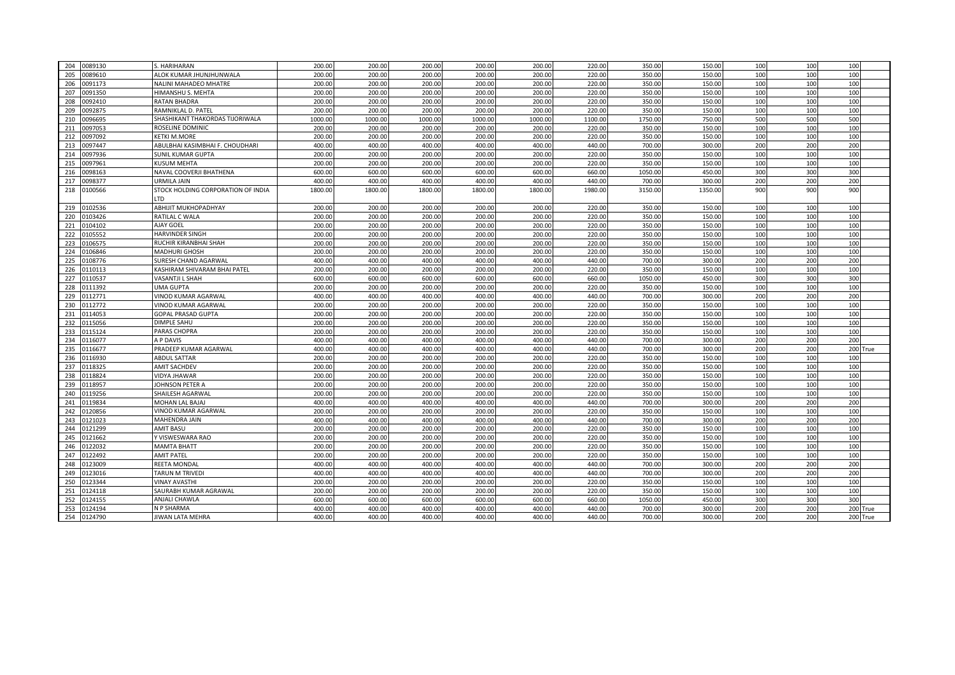| 204 | 0089130 | S. HARIHARAN                       | 200.00  | 200.00  | 200.00  | 200.00  | 200.00  | 220.00  | 350.00  | 150.00  | 100 | 100             | 100 |          |
|-----|---------|------------------------------------|---------|---------|---------|---------|---------|---------|---------|---------|-----|-----------------|-----|----------|
| 205 | 0089610 | ALOK KUMAR JHUNJHUNWALA            | 200.00  | 200.00  | 200.00  | 200.00  | 200.00  | 220.00  | 350.00  | 150.00  | 100 | 100             | 100 |          |
| 206 | 0091173 | <b>NALINI MAHADEO MHATRE</b>       | 200.00  | 200.00  | 200.00  | 200.00  | 200.00  | 220.00  | 350.00  | 150.00  | 100 | 100             | 100 |          |
| 207 | 0091350 | HIMANSHU S. MEHTA                  | 200.00  | 200.00  | 200.00  | 200.00  | 200.00  | 220.00  | 350.00  | 150.00  | 100 | 100             | 100 |          |
| 208 | 0092410 | RATAN BHADRA                       | 200.00  | 200.00  | 200.00  | 200.00  | 200.00  | 220.00  | 350.00  | 150.00  | 100 | 100             | 100 |          |
| 209 | 0092875 | RAMNIKLAL D. PATEL                 | 200.00  | 200.00  | 200.00  | 200.00  | 200.00  | 220.00  | 350.0   | 150.00  | 100 | 10 <sub>C</sub> | 100 |          |
| 210 | 096695  | SHASHIKANT THAKORDAS TIJORIWALA    | 1000.00 | 1000.00 | 1000.00 | 1000.00 | 1000.00 | 1100.00 | 1750.0  | 750.00  | 500 | 500             | 500 |          |
| 211 | 097053  | ROSELINE DOMINIC                   | 200.00  | 200.00  | 200.00  | 200.00  | 200.00  | 220.00  | 350.00  | 150.00  | 100 | 100             | 100 |          |
| 212 | 097092  | KETKI M.MORE                       | 200.00  | 200.00  | 200.00  | 200.00  | 200.00  | 220.00  | 350.00  | 150.00  | 100 | 100             | 100 |          |
| 213 | 0097447 | ABULBHAI KASIMBHAI F. CHOUDHARI    | 400.00  | 400.00  | 400.00  | 400.00  | 400.00  | 440.00  | 700.00  | 300.00  | 200 | 200             | 200 |          |
| 214 | 0097936 | <b>SUNIL KUMAR GUPTA</b>           | 200.00  | 200.00  | 200.00  | 200.00  | 200.00  | 220.00  | 350.0   | 150.00  | 100 | 10 <sup>c</sup> | 100 |          |
| 215 | 0097961 | <b>KUSUM MEHTA</b>                 | 200.00  | 200.00  | 200.00  | 200.00  | 200.00  | 220.00  | 350.0   | 150.00  | 100 | 10 <sup>c</sup> | 100 |          |
| 216 | 0098163 | NAVAL COOVERJI BHATHENA            | 600.00  | 600.00  | 600.00  | 600.00  | 600.00  | 660.00  | 1050.0  | 450.00  | 300 | 30 <sup>c</sup> | 300 |          |
| 217 | 0098377 | URMILA JAIN                        | 400.00  | 400.00  | 400.00  | 400.00  | 400.00  | 440.00  | 700.0   | 300.00  | 200 | 200             | 200 |          |
| 218 | 0100566 | STOCK HOLDING CORPORATION OF INDIA | 1800.00 | 1800.00 | 1800.00 | 1800.00 | 1800.00 | 1980.00 | 3150.00 | 1350.00 | 900 | 900             | 900 |          |
|     |         | TD.                                |         |         |         |         |         |         |         |         |     |                 |     |          |
| 219 | 102536  | <b>ABHIJIT MUKHOPADHYAY</b>        | 200.00  | 200.00  | 200.00  | 200.00  | 200.00  | 220.00  | 350.00  | 150.00  | 100 | 100             | 100 |          |
| 220 | 103426  | RATILAL C WALA                     | 200.00  | 200.00  | 200.00  | 200.00  | 200.00  | 220.00  | 350.0   | 150.00  | 100 | 100             | 100 |          |
| 221 | 0104102 | AJAY GOEL                          | 200.00  | 200.00  | 200.00  | 200.00  | 200.00  | 220.00  | 350.0   | 150.00  | 100 | 100             | 100 |          |
| 222 | 105552  | <b>HARVINDER SINGH</b>             | 200.00  | 200.00  | 200.00  | 200.00  | 200.00  | 220.00  | 350.0   | 150.00  | 100 | 10 <sub>C</sub> | 100 |          |
| 223 | 106575  | RUCHIR KIRANBHAI SHAH              | 200.00  | 200.00  | 200.00  | 200.00  | 200.00  | 220.00  | 350.00  | 150.00  | 100 | 100             | 100 |          |
| 224 | 106846  | MADHURI GHOSH                      | 200.00  | 200.00  | 200.00  | 200.00  | 200.00  | 220.00  | 350.00  | 150.00  | 100 | 100             | 100 |          |
| 225 | 108776  | SURESH CHAND AGARWAL               | 400.00  | 400.00  | 400.00  | 400.00  | 400.00  | 440.00  | 700.00  | 300.00  | 200 | 200             | 200 |          |
| 226 | 110113  | KASHIRAM SHIVARAM BHAI PATEL       | 200.00  | 200.00  | 200.00  | 200.00  | 200.00  | 220.00  | 350.00  | 150.00  | 100 | 100             | 100 |          |
| 227 | 110537  | VASANTJI L SHAH                    | 600.00  | 600.00  | 600.00  | 600.00  | 600.00  | 660.00  | 1050.0  | 450.00  | 300 | 300             | 300 |          |
| 228 | 0111392 | UMA GUPTA                          | 200.00  | 200.00  | 200.00  | 200.00  | 200.00  | 220.00  | 350.0   | 150.00  | 100 | 10 <sup>c</sup> | 100 |          |
| 229 | 0112771 | VINOD KUMAR AGARWAL                | 400.00  | 400.00  | 400.00  | 400.00  | 400.00  | 440.00  | 700.0   | 300.00  | 200 | 200             | 200 |          |
| 230 | 112772  | VINOD KUMAR AGARWAL                | 200.00  | 200.00  | 200.00  | 200.00  | 200.00  | 220.00  | 350.00  | 150.00  | 100 | 100             | 100 |          |
| 231 | 114053  | <b>GOPAL PRASAD GUPTA</b>          | 200.00  | 200.00  | 200.00  | 200.00  | 200.00  | 220.00  | 350.00  | 150.00  | 100 | 100             | 100 |          |
| 232 | 115056  | <b>DIMPLE SAHU</b>                 | 200.00  | 200.00  | 200.00  | 200.00  | 200.00  | 220.00  | 350.00  | 150.00  | 100 | 100             | 100 |          |
| 233 | 115124  | PARAS CHOPRA                       | 200.00  | 200.00  | 200.00  | 200.00  | 200.00  | 220.00  | 350.00  | 150.00  | 100 | 100             | 100 |          |
| 234 | 116077  | A P DAVIS                          | 400.00  | 400.00  | 400.00  | 400.00  | 400.00  | 440.00  | 700.00  | 300.00  | 200 | 200             | 200 |          |
| 235 | 116677  | PRADEEP KUMAR AGARWAL              | 400.00  | 400.00  | 400.00  | 400.00  | 400.00  | 440.00  | 700.00  | 300.00  | 200 | 200             |     | 200 True |
| 236 | 116930  | <b>ABDUL SATTAR</b>                | 200.00  | 200.00  | 200.00  | 200.00  | 200.00  | 220.00  | 350.0   | 150.00  | 100 | 10 <sub>C</sub> | 100 |          |
| 237 | 0118325 | <b>AMIT SACHDEV</b>                | 200.00  | 200.00  | 200.00  | 200.00  | 200.00  | 220.00  | 350.0   | 150.00  | 100 | 10 <sub>C</sub> | 100 |          |
| 238 | 118824  | <b>VIDYA JHAWAR</b>                | 200.00  | 200.00  | 200.00  | 200.00  | 200.00  | 220.00  | 350.00  | 150.00  | 100 | 100             | 100 |          |
| 239 | 118957  | <b>JOHNSON PETER A</b>             | 200.00  | 200.00  | 200.00  | 200.00  | 200.00  | 220.00  | 350.00  | 150.00  | 100 | 100             | 100 |          |
| 240 | 0119256 | SHAILESH AGARWAL                   | 200.00  | 200.00  | 200.00  | 200.00  | 200.00  | 220.00  | 350.00  | 150.00  | 100 | 100             | 100 |          |
| 241 | 119834  | <b>MOHAN LAL BAJAJ</b>             | 400.00  | 400.00  | 400.00  | 400.00  | 400.00  | 440.00  | 700.00  | 300.00  | 200 | 200             | 200 |          |
| 242 | 0120856 | VINOD KUMAR AGARWAL                | 200.00  | 200.00  | 200.00  | 200.00  | 200.00  | 220.00  | 350.00  | 150.00  | 100 | 100             | 100 |          |
| 243 | 0121023 | MAHENDRA JAIN                      | 400.00  | 400.00  | 400.00  | 400.00  | 400.00  | 440.00  | 700.0   | 300.00  | 200 | 200             | 200 |          |
| 244 | 121299  | <b>AMIT BASU</b>                   | 200.00  | 200.00  | 200.00  | 200.00  | 200.00  | 220.00  | 350.00  | 150.00  | 100 | 100             | 100 |          |
| 245 | 0121662 | Y VISWESWARA RAO                   | 200.00  | 200.00  | 200.00  | 200.00  | 200.00  | 220.00  | 350.00  | 150.00  | 100 | 100             | 100 |          |
| 246 | 0122032 | <b>MAMTA BHATT</b>                 | 200.00  | 200.00  | 200.00  | 200.00  | 200.00  | 220.00  | 350.00  | 150.00  | 100 | 100             | 100 |          |
| 247 | 122492  | <b>AMIT PATEL</b>                  | 200.00  | 200.00  | 200.00  | 200.00  | 200.00  | 220.00  | 350.00  | 150.00  | 100 | 100             | 100 |          |
| 248 | 123009  | REETA MONDAL                       | 400.00  | 400.00  | 400.00  | 400.00  | 400.00  | 440.00  | 700.0   | 300.00  | 200 | 200             | 200 |          |
| 249 | 0123016 | TARUN M TRIVEDI                    | 400.00  | 400.00  | 400.00  | 400.00  | 400.00  | 440.00  | 700.0   | 300.00  | 200 | 200             | 200 |          |
| 250 | 123344  | <b>VINAY AVASTHI</b>               | 200.00  | 200.00  | 200.00  | 200.00  | 200.00  | 220.00  | 350.0   | 150.00  | 100 | 100             | 100 |          |
| 251 | 124118  | SAURABH KUMAR AGRAWAL              | 200.00  | 200.00  | 200.00  | 200.00  | 200.00  | 220.00  | 350.0   | 150.00  | 100 | 10 <sup>c</sup> | 100 |          |
| 252 | 0124155 | <b>ANJALI CHAWLA</b>               | 600.00  | 600.00  | 600.00  | 600.00  | 600.00  | 660.00  | 1050.0  | 450.00  | 300 | 30 <sup>c</sup> | 300 |          |
| 253 | 0124194 | N P SHARMA                         | 400.00  | 400.00  | 400.00  | 400.00  | 400.00  | 440.00  | 700.0   | 300.00  | 200 | 200             |     | 200 True |
| 254 | 0124790 | <b>JIWAN LATA MEHRA</b>            | 400.00  | 400.00  | 400.00  | 400.00  | 400.00  | 440.00  | 700.00  | 300.00  | 200 | 200             |     | 200 True |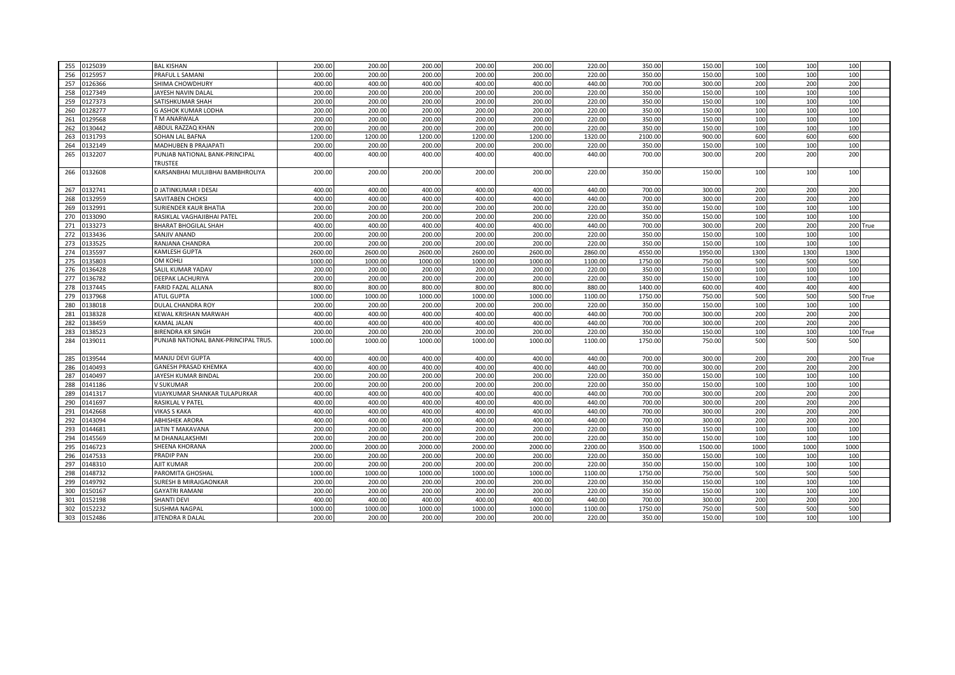|     | 0125039 | <b>BAL KISHAN</b>                    | 200.00  | 200.00  | 200.00  | 200.00  | 200.00  | 220.00  | 350.00  | 150.00  | 100  | 100             | 100  |          |
|-----|---------|--------------------------------------|---------|---------|---------|---------|---------|---------|---------|---------|------|-----------------|------|----------|
| 255 |         |                                      |         |         |         |         |         |         |         |         |      |                 |      |          |
| 256 | 125957  | PRAFUL L SAMANI                      | 200.00  | 200.00  | 200.00  | 200.00  | 200.00  | 220.00  | 350.00  | 150.00  | 100  | 100             | 100  |          |
| 257 | 0126366 | <b>SHIMA CHOWDHURY</b>               | 400.00  | 400.00  | 400.00  | 400.00  | 400.00  | 440.00  | 700.00  | 300.00  | 200  | 200             | 200  |          |
| 258 | 127349  | JAYESH NAVIN DALAL                   | 200.00  | 200.00  | 200.00  | 200.00  | 200.00  | 220.00  | 350.00  | 150.00  | 100  | 10 <sup>c</sup> | 100  |          |
| 259 | 0127373 | SATISHKUMAR SHAH                     | 200.00  | 200.00  | 200.00  | 200.00  | 200.00  | 220.00  | 350.00  | 150.00  | 100  | 100             | 100  |          |
| 260 | 128277  | <b>G ASHOK KUMAR LODHA</b>           | 200.00  | 200.00  | 200.00  | 200.00  | 200.00  | 220.00  | 350.0   | 150.00  | 100  | 100             | 100  |          |
| 261 | 129568  | T M ANARWALA                         | 200.00  | 200.00  | 200.00  | 200.00  | 200.00  | 220.00  | 350.0   | 150.00  | 100  | 100             | 100  |          |
| 262 | 130442  | ABDUL RAZZAQ KHAN                    | 200.00  | 200.00  | 200.00  | 200.00  | 200.00  | 220.00  | 350.00  | 150.00  | 100  | 100             | 100  |          |
| 263 | 131793  | SOHAN LAL BAFNA                      | 1200.00 | 1200.00 | 1200.00 | 1200.00 | 1200.00 | 1320.00 | 2100.0  | 900.00  | 600  | 600             | 600  |          |
| 264 | 132149  | <b>MADHUBEN B PRAJAPATI</b>          | 200.00  | 200.00  | 200.00  | 200.00  | 200.00  | 220.00  | 350.00  | 150.00  | 100  | 100             | 100  |          |
| 265 | 0132207 | PUNJAB NATIONAL BANK-PRINCIPAL       | 400.00  | 400.00  | 400.00  | 400.00  | 400.00  | 440.00  | 700.00  | 300.00  | 200  | 200             | 200  |          |
|     |         | TRUSTEE                              |         |         |         |         |         |         |         |         |      |                 |      |          |
| 266 | 0132608 | KARSANBHAI MULJIBHAI BAMBHROLIYA     | 200.00  | 200.00  | 200.00  | 200.00  | 200.00  | 220.00  | 350.00  | 150.00  | 100  | 100             | 100  |          |
|     |         |                                      |         |         |         |         |         |         |         |         |      |                 |      |          |
| 267 | 0132741 | D JATINKUMAR I DESAI                 | 400.00  | 400.00  | 400.00  | 400.00  | 400.00  | 440.00  | 700.00  | 300.00  | 200  | 200             | 200  |          |
| 268 | 132959  | <b>SAVITABEN CHOKSI</b>              | 400.00  | 400.00  | 400.00  | 400.00  | 400.00  | 440.00  | 700.0   | 300.00  | 200  | 200             | 200  |          |
| 269 | 132991  | <b>SURIENDER KAUR BHATIA</b>         | 200.00  | 200.00  | 200.00  | 200.00  | 200.00  | 220.00  | 350.00  | 150.00  | 100  | 100             | 100  |          |
| 270 | 0133090 | RASIKLAL VAGHAJIBHAI PATEL           | 200.00  | 200.00  | 200.00  | 200.00  | 200.00  | 220.00  | 350.0   | 150.00  | 100  | 10 <sub>C</sub> | 100  |          |
| 271 | 0133273 | <b>BHARAT BHOGILAL SHAH</b>          | 400.00  | 400.00  | 400.00  | 400.00  | 400.00  | 440.00  | 700.0   | 300.00  | 200  | 200             |      | 200 True |
| 272 | 0133436 | <b>SANJIV ANAND</b>                  | 200.00  | 200.00  | 200.00  | 200.00  | 200.00  | 220.00  | 350.0   | 150.00  | 100  | 10 <sup>c</sup> | 100  |          |
| 273 | 0133525 | RANJANA CHANDRA                      | 200.00  | 200.00  | 200.00  | 200.00  | 200.00  | 220.00  | 350.0   | 150.00  | 100  | 100             | 100  |          |
| 274 | 135597  | KAMLESH GUPTA                        | 2600.00 | 2600.00 | 2600.00 | 2600.00 | 2600.00 | 2860.00 | 4550.00 | 1950.00 | 1300 | 1300            | 1300 |          |
| 275 | 135803  | OM KOHLI                             | 1000.00 | 1000.00 | 1000.00 | 1000.00 | 1000.00 | 1100.00 | 1750.0  | 750.00  | 500  | 500             | 500  |          |
| 276 | 136428  | <b>SALIL KUMAR YADAV</b>             | 200.00  | 200.00  | 200.00  | 200.00  | 200.00  | 220.00  | 350.00  | 150.00  | 100  | 100             | 100  |          |
| 277 | 0136782 | <b>DEEPAK LACHURIYA</b>              | 200.00  | 200.00  | 200.00  | 200.00  | 200.00  | 220.00  | 350.0   | 150.00  | 100  | 10 <sup>c</sup> | 100  |          |
| 278 | 0137445 | FARID FAZAL ALLANA                   | 800.00  | 800.00  | 800.00  | 800.00  | 800.00  | 880.00  | 1400.0  | 600.00  | 400  | 400             | 400  |          |
| 279 | 0137968 | <b>ATUL GUPTA</b>                    | 1000.00 | 1000.00 | 1000.00 | 1000.00 | 1000.00 | 1100.00 | 1750.0  | 750.00  | 500  | 500             |      | 500 True |
| 280 | 0138018 | <b>DULAL CHANDRA ROY</b>             | 200.00  | 200.00  | 200.00  | 200.00  | 200.00  | 220.00  | 350.00  | 150.00  | 100  | 100             | 100  |          |
| 281 | 138328  | KEWAL KRISHAN MARWAH                 | 400.00  | 400.00  | 400.00  | 400.00  | 400.00  | 440.00  | 700.00  | 300.00  | 200  | 200             | 200  |          |
| 282 | 138459  | KAMAL JALAN                          | 400.00  | 400.00  | 400.00  | 400.00  | 400.00  | 440.00  | 700.00  | 300.00  | 200  | 200             | 200  |          |
| 283 | 138523  | <b>BIRENDRA KR SINGH</b>             | 200.00  | 200.00  | 200.00  | 200.00  | 200.00  | 220.00  | 350.00  | 150.00  | 100  | 100             |      | 100 True |
| 284 | 139011  | PUNJAB NATIONAL BANK-PRINCIPAL TRUS. | 1000.00 | 1000.00 | 1000.00 | 1000.00 | 1000.00 | 1100.00 | 1750.00 | 750.00  | 500  | 500             | 500  |          |
|     |         |                                      |         |         |         |         |         |         |         |         |      |                 |      |          |
| 285 | 0139544 | MANJU DEVI GUPTA                     | 400.00  | 400.00  | 400.00  | 400.00  | 400.00  | 440.00  | 700.0   | 300.00  | 200  | 200             |      | 200 True |
| 286 | 140493  | <b>GANESH PRASAD KHEMKA</b>          | 400.00  | 400.00  | 400.00  | 400.00  | 400.00  | 440.00  | 700.00  | 300.00  | 200  | 200             | 200  |          |
| 287 | 0140497 | JAYESH KUMAR BINDAL                  | 200.00  | 200.00  | 200.00  | 200.00  | 200.00  | 220.00  | 350.00  | 150.00  | 100  | 100             | 100  |          |
| 288 | 0141186 | V SUKUMAR                            | 200.00  | 200.00  | 200.00  | 200.00  | 200.00  | 220.00  | 350.00  | 150.00  | 100  | 100             | 100  |          |
| 289 | 141317  | VIJAYKUMAR SHANKAR TULAPURKAR        | 400.00  | 400.00  | 400.00  | 400.00  | 400.00  | 440.00  | 700.00  | 300.00  | 200  | 200             | 200  |          |
| 290 | 141697  | RASIKLAL V PATEL                     | 400.00  | 400.00  | 400.00  | 400.00  | 400.00  | 440.00  | 700.0   | 300.00  | 200  | 200             | 200  |          |
| 291 | 0142668 | <b>VIKAS S KAKA</b>                  | 400.00  | 400.00  | 400.00  | 400.00  | 400.00  | 440.00  | 700.0   | 300.00  | 200  | 200             | 200  |          |
| 292 | 0143094 | <b>ABHISHEK ARORA</b>                | 400.00  | 400.00  | 400.00  | 400.00  | 400.00  | 440.00  | 700.0   | 300.00  | 200  | 200             | 200  |          |
| 293 | 144681  | <b>JATIN T MAKAVANA</b>              | 200.00  | 200.00  | 200.00  | 200.00  | 200.00  | 220.00  | 350.0   | 150.00  | 100  | 100             | 100  |          |
| 294 | 0145569 | M DHANALAKSHM                        | 200.00  | 200.00  | 200.00  | 200.00  | 200.00  | 220.00  | 350.0   | 150.00  | 100  | 100             | 100  |          |
| 295 | 146723  | SHEENA KHORANA                       | 2000.00 | 2000.00 | 2000.00 | 2000.00 | 2000.00 | 2200.00 | 3500.0  | 1500.00 | 1000 | 1000            | 1000 |          |
| 296 | 147533  | PRADIP PAN                           | 200.00  | 200.00  | 200.00  | 200.00  | 200.00  | 220.00  | 350.00  | 150.00  | 100  | 100             | 100  |          |
| 297 | 0148310 | <b>AJIT KUMAR</b>                    | 200.00  | 200.00  | 200.00  | 200.00  | 200.00  | 220.00  | 350.0   | 150.00  | 100  | 10 <sub>C</sub> | 100  |          |
| 298 | 0148732 | PAROMITA GHOSHAL                     | 1000.00 | 1000.00 | 1000.00 | 1000.00 | 1000.00 | 1100.00 | 1750.0  | 750.00  | 500  | 500             | 500  |          |
| 299 | 0149792 | <b>SURESH B MIRAJGAONKAR</b>         | 200.00  | 200.00  | 200.00  | 200.00  | 200.00  | 220.00  | 350.0   | 150.00  | 100  | 10 <sup>c</sup> | 100  |          |
| 300 | 0150167 | <b>GAYATRI RAMANI</b>                | 200.00  | 200.00  | 200.00  | 200.00  | 200.00  | 220.00  | 350.0   | 150.00  | 100  | 100             | 100  |          |
| 301 | 0152198 | SHANTI DEVI                          | 400.00  | 400.00  | 400.00  | 400.00  | 400.00  | 440.00  | 700.00  | 300.00  | 200  | 200             | 200  |          |
| 302 | 152232  | SUSHMA NAGPAL                        | 1000.00 | 1000.00 | 1000.00 | 1000.00 | 1000.00 | 1100.00 | 1750.00 | 750.00  | 500  | 500             | 500  |          |
| 303 | 0152486 | JITENDRA R DALAL                     | 200.00  | 200.00  | 200.00  | 200.00  | 200.00  | 220.00  | 350.00  | 150.00  | 100  | 100             | 100  |          |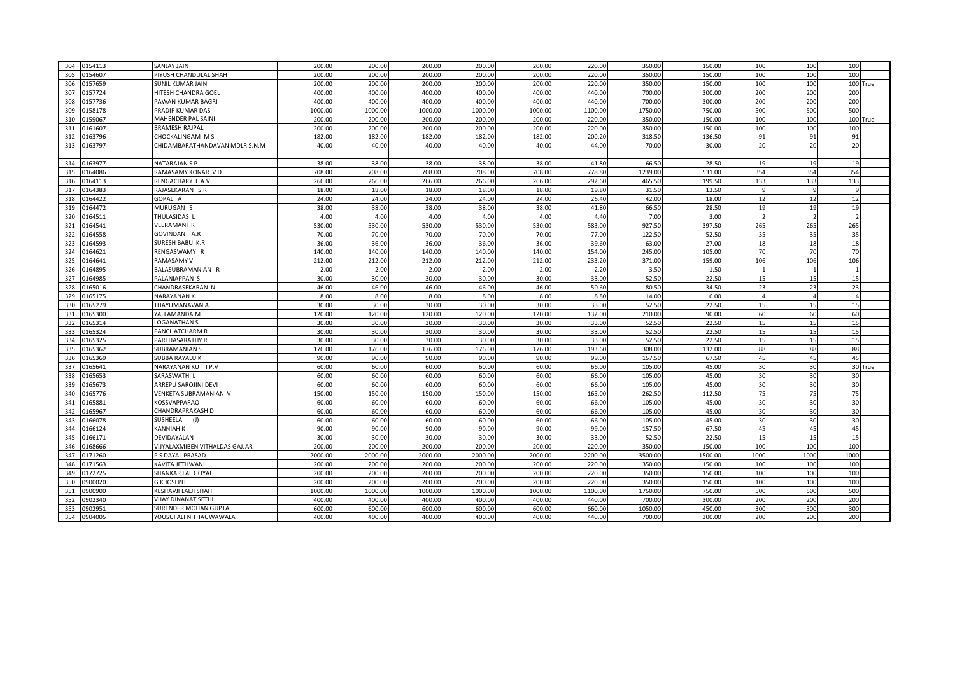| 304 | 0154113 | <b>SANJAY JAIN</b>             | 200.00  | 200.00  | 200.00  | 200.00  | 200.00  | 220.00  | 350.00  | 150.00  | 100  | 100             | 100  |          |
|-----|---------|--------------------------------|---------|---------|---------|---------|---------|---------|---------|---------|------|-----------------|------|----------|
| 305 | 154607  | PIYUSH CHANDULAL SHAH          | 200.00  | 200.00  | 200.00  | 200.00  | 200.00  | 220.00  | 350.00  | 150.00  | 100  | 100             | 100  |          |
| 306 | 0157659 | SUNIL KUMAR JAIN               | 200.00  | 200.00  | 200.00  | 200.00  | 200.00  | 220.00  | 350.00  | 150.00  | 100  | 100             |      | 100 True |
| 307 | 0157724 | HITESH CHANDRA GOEL            | 400.00  | 400.00  | 400.00  | 400.00  | 400.00  | 440.00  | 700.00  | 300.00  | 200  | 200             | 200  |          |
|     | 0157736 | PAWAN KUMAR BAGRI              | 400.00  | 400.00  | 400.00  | 400.00  | 400.00  | 440.00  | 700.00  | 300.00  | 200  | 200             | 200  |          |
| 308 | 0158178 |                                |         | 1000.00 | 1000.00 |         | 1000.00 | 1100.00 | 1750.00 | 750.00  | 500  |                 | 500  |          |
| 309 |         | PRADIP KUMAR DAS               | 1000.00 |         |         | 1000.00 |         |         |         |         |      | 500             |      |          |
| 310 | 159067  | MAHENDER PAL SAINI             | 200.00  | 200.00  | 200.00  | 200.00  | 200.00  | 220.00  | 350.00  | 150.00  | 100  | 100             |      | 100 True |
| 311 | 161607  | BRAMESH RAJPAL                 | 200.00  | 200.00  | 200.00  | 200.00  | 200.00  | 220.00  | 350.00  | 150.00  | 100  | 100             | 100  |          |
| 312 | 163796  | CHOCKALINGAM MS                | 182.00  | 182.00  | 182.00  | 182.00  | 182.00  | 200.20  | 318.50  | 136.50  | 91   | 91              | 91   |          |
| 313 | 0163797 | CHIDAMBARATHANDAVAN MDLR S.N.M | 40.00   | 40.00   | 40.00   | 40.00   | 40.00   | 44.00   | 70.00   | 30.00   | 20   | 2C              | 20   |          |
| 314 | 163977  | NATARAJAN S P                  | 38.00   | 38.00   | 38.00   | 38.00   | 38.00   | 41.80   | 66.50   | 28.50   | 19   | 19              | 19   |          |
| 315 | 0164086 | RAMASAMY KONAR V D             | 708.00  | 708.00  | 708.00  | 708.00  | 708.0   | 778.80  | 1239.00 | 531.00  | 354  | 354             | 354  |          |
| 316 | 164113  | RENGACHARY E.A.V               | 266.00  | 266.00  | 266.00  | 266.00  | 266.00  | 292.60  | 465.50  | 199.50  | 133  | 133             | 133  |          |
| 317 | 164383  | RAJASEKARAN S.R                | 18.00   | 18.00   | 18.00   | 18.00   | 18.00   | 19.80   | 31.50   | 13.50   |      |                 |      |          |
| 318 | 164422  | GOPAL A                        | 24.00   | 24.00   | 24.00   | 24.00   | 24.00   | 26.40   | 42.00   | 18.00   | 12   | 12              | 12   |          |
| 319 | 164472  | MURUGAN S                      | 38.00   | 38.00   | 38.00   | 38.00   | 38.00   | 41.80   | 66.50   | 28.50   | 19   | 19              | 19   |          |
| 320 | 0164511 | THULASIDAS L                   | 4.00    | 4.00    | 4.00    | 4.00    | 4.00    | 4.40    | 7.00    | 3.00    |      |                 |      |          |
| 321 | 0164541 | VEERAMANI R                    | 530.00  | 530.00  | 530.00  | 530.00  | 530.00  | 583.00  | 927.50  | 397.50  | 265  | 265             | 265  |          |
| 322 | 164558  | GOVINDAN A.R                   | 70.00   | 70.00   | 70.00   | 70.00   | 70.0    | 77.00   | 122.50  | 52.50   | 35   | 35              | 35   |          |
| 323 | 164593  | SURESH BABU K.R                | 36.00   | 36.00   | 36.00   | 36.00   | 36.00   | 39.60   | 63.00   | 27.00   | 18   | 18              | 18   |          |
| 324 | 164621  | RENGASWAMY R                   | 140.00  | 140.00  | 140.00  | 140.00  | 140.00  | 154.00  | 245.00  | 105.00  | 70   | 70              | 70   |          |
| 325 | 164641  | RAMASAMY V                     | 212.00  | 212.00  | 212.00  | 212.00  | 212.00  | 233.20  | 371.00  | 159.00  | 106  | 106             | 106  |          |
| 326 | 164895  | BALASUBRAMANIAN R              | 2.00    | 2.00    | 2.00    | 2.00    | 2.00    | 2.20    | 3.50    | 1.50    |      |                 |      |          |
| 327 | 0164985 | PALANIAPPAN S                  | 30.00   | 30.00   | 30.00   | 30.00   | 30.00   | 33.00   | 52.50   | 22.50   | 15   | 15              | 15   |          |
| 328 | 165016  | CHANDRASEKARAN N               | 46.00   | 46.00   | 46.00   | 46.00   | 46.00   | 50.60   | 80.50   | 34.50   | 23   | 23              | 23   |          |
| 329 | 165175  | NARAYANAN K                    | 8.00    | 8.00    | 8.00    | 8.00    | 8.00    | 8.80    | 14.00   | 6.00    |      |                 |      |          |
| 330 | 165279  | THAYUMANAVAN A.                | 30.00   | 30.00   | 30.00   | 30.00   | 30.00   | 33.00   | 52.50   | 22.50   | 15   | 15              | 15   |          |
| 331 | 0165300 | YALLAMANDA M                   | 120.00  | 120.00  | 120.00  | 120.00  | 120.00  | 132.00  | 210.00  | 90.00   | 60   | 60              | 60   |          |
| 332 | 0165314 | <b>LOGANATHAN S</b>            | 30.00   | 30.00   | 30.00   | 30.00   | 30.00   | 33.00   | 52.50   | 22.50   | 15   | 15              | 15   |          |
| 333 | 165324  | PANCHATCHARM R                 | 30.00   | 30.00   | 30.00   | 30.00   | 30.00   | 33.00   | 52.50   | 22.50   | 15   | 15              | 15   |          |
| 334 | 0165325 | PARTHASARATHY R                | 30.00   | 30.00   | 30.00   | 30.00   | 30.00   | 33.00   | 52.50   | 22.50   | 15   | 15              | 15   |          |
| 335 | 0165362 | <b>SUBRAMANIAN S</b>           | 176.00  | 176.00  | 176.00  | 176.00  | 176.00  | 193.60  | 308.00  | 132.00  | 88   | 88              | 88   |          |
| 336 | 165369  | SUBBA RAYALU K                 | 90.00   | 90.00   | 90.00   | 90.00   | 90.00   | 99.00   | 157.50  | 67.50   | 45   | 45              | 45   |          |
| 337 | 165641  | NARAYANAN KUTTI P.V            | 60.00   | 60.00   | 60.00   | 60.00   | 60.00   | 66.00   | 105.00  | 45.00   | 30   | 30              |      | 30 True  |
| 338 | 0165653 | SARASWATHI L                   | 60.00   | 60.00   | 60.00   | 60.00   | 60.00   | 66.00   | 105.00  | 45.00   | 30   | 30              | 30   |          |
| 339 | 165673  | ARREPU SAROJINI DEVI           | 60.00   | 60.00   | 60.00   | 60.00   | 60.00   | 66.00   | 105.00  | 45.00   | 30   | 30              | 30   |          |
| 340 | 165776  | VENKETA SUBRAMANIAN V          | 150.00  | 150.00  | 150.00  | 150.00  | 150.00  | 165.00  | 262.50  | 112.50  | 75   | 75              | 75   |          |
| 341 | 165881  | KOSSVAPPARAO                   | 60.00   | 60.00   | 60.00   | 60.00   | 60.00   | 66.00   | 105.00  | 45.00   | 30   | 3 <sup>c</sup>  | 30   |          |
| 342 | 0165967 | CHANDRAPRAKASH D               | 60.00   | 60.00   | 60.00   | 60.00   | 60.00   | 66.00   | 105.00  | 45.00   | 30   | 30              | 30   |          |
| 343 | 166078  | SUSHEELA<br>(1)                | 60.00   | 60.00   | 60.00   | 60.00   | 60.00   | 66.00   | 105.00  | 45.00   | 30   | 30              | 30   |          |
| 344 | 166124  | KANNIAH K                      | 90.00   | 90.00   | 90.00   | 90.00   | 90.00   | 99.00   | 157.50  | 67.50   | 45   | 45              | 45   |          |
| 345 | 0166171 | DEVIDAYALAN                    | 30.00   | 30.00   | 30.00   | 30.00   | 30.00   | 33.00   | 52.50   | 22.50   | 15   | 15              | 15   |          |
| 346 | 168666  | VIJYALAXMIBEN VITHALDAS GAJJAR | 200.00  | 200.00  | 200.00  | 200.00  | 200.00  | 220.00  | 350.00  | 150.00  | 100  | 100             | 100  |          |
| 347 | 0171260 | P S DAYAL PRASAD               | 2000.00 | 2000.00 | 2000.00 | 2000.00 | 2000.00 | 2200.00 | 3500.00 | 1500.00 | 1000 | 1000            | 1000 |          |
| 348 | 171563  | KAVITA JETHWANI                | 200.00  | 200.00  | 200.00  | 200.00  | 200.00  | 220.00  | 350.00  | 150.00  | 100  | 10 <sub>C</sub> | 100  |          |
| 349 | 172725  | SHANKAR LAL GOYAL              | 200.00  | 200.00  | 200.00  | 200.00  | 200.00  | 220.00  | 350.00  | 150.00  | 100  | 100             | 100  |          |
| 350 | 0900020 | <b>G K JOSEPH</b>              | 200.00  | 200.00  | 200.00  | 200.00  | 200.00  | 220.00  | 350.00  | 150.00  | 100  | 10 <sup>c</sup> | 100  |          |
| 351 | )900900 | KESHAVJI LALJI SHAH            | 1000.00 | 1000.00 | 1000.00 | 1000.00 | 1000.00 | 1100.00 | 1750.00 | 750.00  | 500  | 500             | 500  |          |
| 352 | 0902340 | VIJAY DINANAT SETHI            | 400.00  | 400.00  | 400.00  | 400.00  | 400.00  | 440.00  | 700.00  | 300.00  | 200  | 200             | 200  |          |
| 353 | 0902951 | SURENDER MOHAN GUPTA           | 600.00  | 600.00  | 600.00  | 600.00  | 600.00  | 660.00  | 1050.00 | 450.00  | 300  | 30C             | 300  |          |
| 354 | 0904005 | YOUSUFALI NITHAUWAWALA         | 400.00  | 400.00  | 400.00  | 400.00  | 400.00  | 440.00  | 700.00  | 300.00  | 200  | 200             | 200  |          |